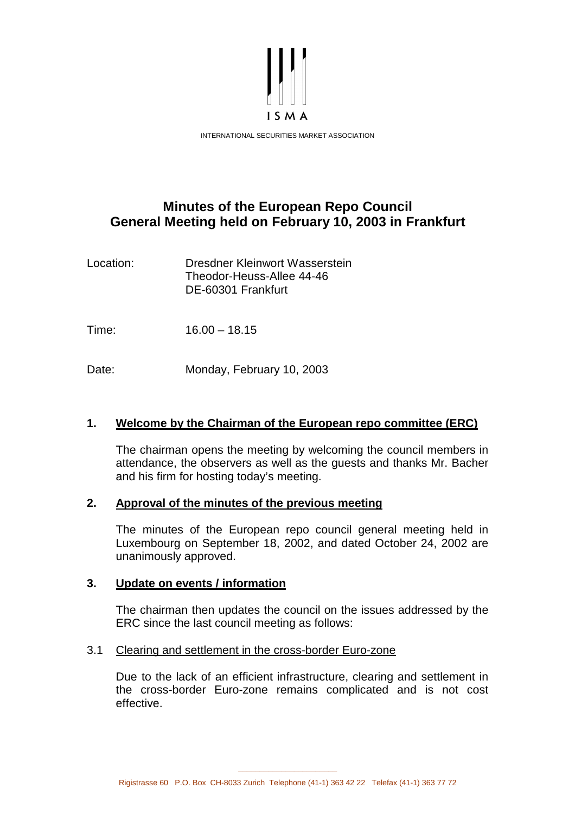

# **Minutes of the European Repo Council General Meeting held on February 10, 2003 in Frankfurt**

Location: Dresdner Kleinwort Wasserstein Theodor-Heuss-Allee 44-46 DE-60301 Frankfurt

Time: 16.00 – 18.15

Date: Monday, February 10, 2003

## **1. Welcome by the Chairman of the European repo committee (ERC)**

 The chairman opens the meeting by welcoming the council members in attendance, the observers as well as the guests and thanks Mr. Bacher and his firm for hosting today's meeting.

### **2. Approval of the minutes of the previous meeting**

 The minutes of the European repo council general meeting held in Luxembourg on September 18, 2002, and dated October 24, 2002 are unanimously approved.

### **3. Update on events / information**

 The chairman then updates the council on the issues addressed by the ERC since the last council meeting as follows:

### 3.1 Clearing and settlement in the cross-border Euro-zone

 Due to the lack of an efficient infrastructure, clearing and settlement in the cross-border Euro-zone remains complicated and is not cost effective.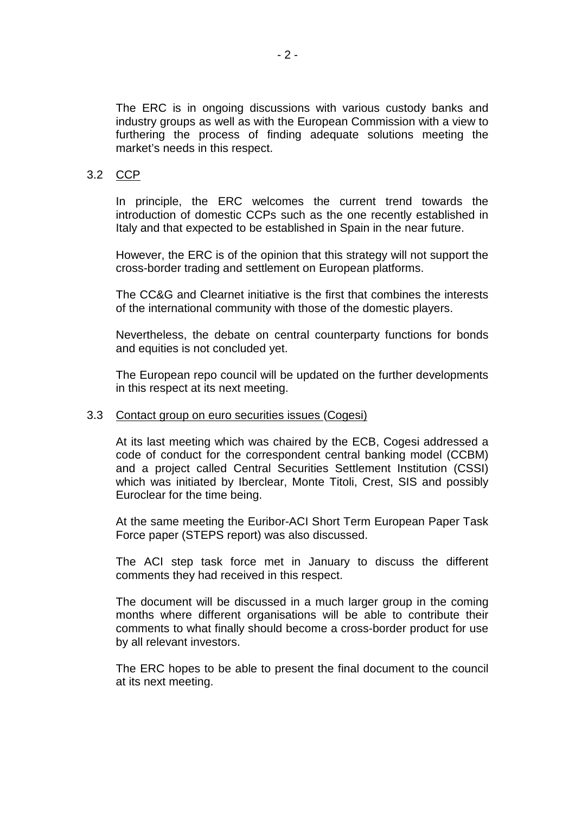The ERC is in ongoing discussions with various custody banks and industry groups as well as with the European Commission with a view to furthering the process of finding adequate solutions meeting the market's needs in this respect.

### 3.2 CCP

 In principle, the ERC welcomes the current trend towards the introduction of domestic CCPs such as the one recently established in Italy and that expected to be established in Spain in the near future.

 However, the ERC is of the opinion that this strategy will not support the cross-border trading and settlement on European platforms.

 The CC&G and Clearnet initiative is the first that combines the interests of the international community with those of the domestic players.

 Nevertheless, the debate on central counterparty functions for bonds and equities is not concluded yet.

 The European repo council will be updated on the further developments in this respect at its next meeting.

#### 3.3 Contact group on euro securities issues (Cogesi)

 At its last meeting which was chaired by the ECB, Cogesi addressed a code of conduct for the correspondent central banking model (CCBM) and a project called Central Securities Settlement Institution (CSSI) which was initiated by Iberclear, Monte Titoli, Crest, SIS and possibly Euroclear for the time being.

 At the same meeting the Euribor-ACI Short Term European Paper Task Force paper (STEPS report) was also discussed.

 The ACI step task force met in January to discuss the different comments they had received in this respect.

 The document will be discussed in a much larger group in the coming months where different organisations will be able to contribute their comments to what finally should become a cross-border product for use by all relevant investors.

 The ERC hopes to be able to present the final document to the council at its next meeting.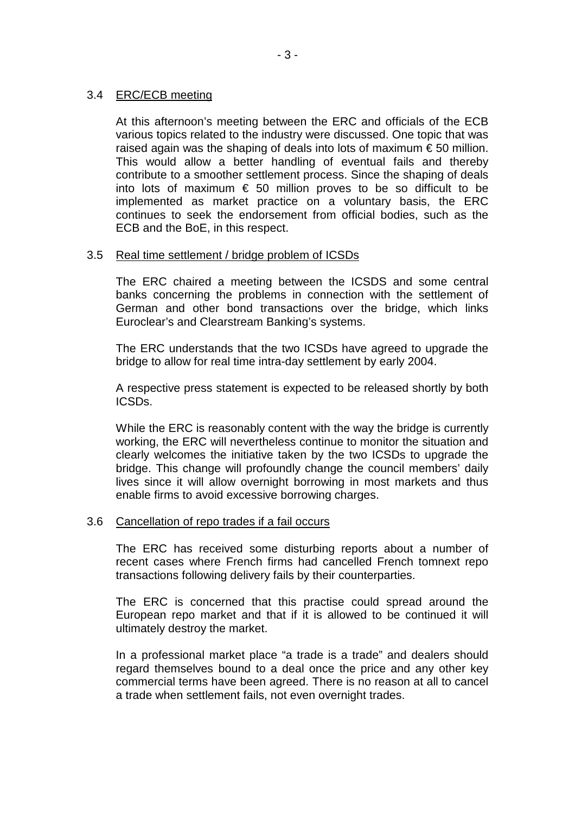### 3.4 ERC/ECB meeting

 At this afternoon's meeting between the ERC and officials of the ECB various topics related to the industry were discussed. One topic that was raised again was the shaping of deals into lots of maximum  $\epsilon$  50 million. This would allow a better handling of eventual fails and thereby contribute to a smoother settlement process. Since the shaping of deals into lots of maximum  $\epsilon$  50 million proves to be so difficult to be implemented as market practice on a voluntary basis, the ERC continues to seek the endorsement from official bodies, such as the ECB and the BoE, in this respect.

### 3.5 Real time settlement / bridge problem of ICSDs

 The ERC chaired a meeting between the ICSDS and some central banks concerning the problems in connection with the settlement of German and other bond transactions over the bridge, which links Euroclear's and Clearstream Banking's systems.

 The ERC understands that the two ICSDs have agreed to upgrade the bridge to allow for real time intra-day settlement by early 2004.

 A respective press statement is expected to be released shortly by both ICSDs.

 While the ERC is reasonably content with the way the bridge is currently working, the ERC will nevertheless continue to monitor the situation and clearly welcomes the initiative taken by the two ICSDs to upgrade the bridge. This change will profoundly change the council members' daily lives since it will allow overnight borrowing in most markets and thus enable firms to avoid excessive borrowing charges.

#### 3.6 Cancellation of repo trades if a fail occurs

 The ERC has received some disturbing reports about a number of recent cases where French firms had cancelled French tomnext repo transactions following delivery fails by their counterparties.

 The ERC is concerned that this practise could spread around the European repo market and that if it is allowed to be continued it will ultimately destroy the market.

 In a professional market place "a trade is a trade" and dealers should regard themselves bound to a deal once the price and any other key commercial terms have been agreed. There is no reason at all to cancel a trade when settlement fails, not even overnight trades.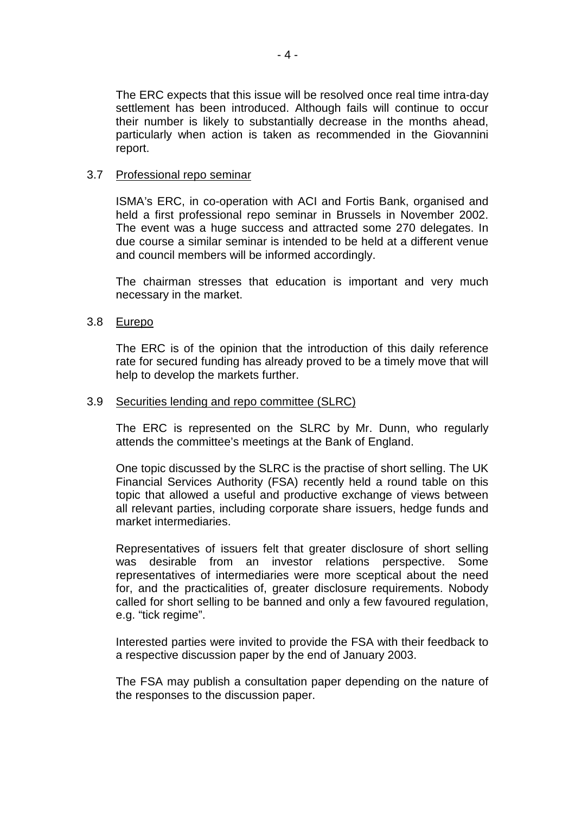The ERC expects that this issue will be resolved once real time intra-day settlement has been introduced. Although fails will continue to occur their number is likely to substantially decrease in the months ahead, particularly when action is taken as recommended in the Giovannini report.

### 3.7 Professional repo seminar

 ISMA's ERC, in co-operation with ACI and Fortis Bank, organised and held a first professional repo seminar in Brussels in November 2002. The event was a huge success and attracted some 270 delegates. In due course a similar seminar is intended to be held at a different venue and council members will be informed accordingly.

 The chairman stresses that education is important and very much necessary in the market.

### 3.8 Eurepo

 The ERC is of the opinion that the introduction of this daily reference rate for secured funding has already proved to be a timely move that will help to develop the markets further.

#### 3.9 Securities lending and repo committee (SLRC)

 The ERC is represented on the SLRC by Mr. Dunn, who regularly attends the committee's meetings at the Bank of England.

 One topic discussed by the SLRC is the practise of short selling. The UK Financial Services Authority (FSA) recently held a round table on this topic that allowed a useful and productive exchange of views between all relevant parties, including corporate share issuers, hedge funds and market intermediaries.

 Representatives of issuers felt that greater disclosure of short selling was desirable from an investor relations perspective. Some representatives of intermediaries were more sceptical about the need for, and the practicalities of, greater disclosure requirements. Nobody called for short selling to be banned and only a few favoured regulation, e.g. "tick regime".

 Interested parties were invited to provide the FSA with their feedback to a respective discussion paper by the end of January 2003.

 The FSA may publish a consultation paper depending on the nature of the responses to the discussion paper.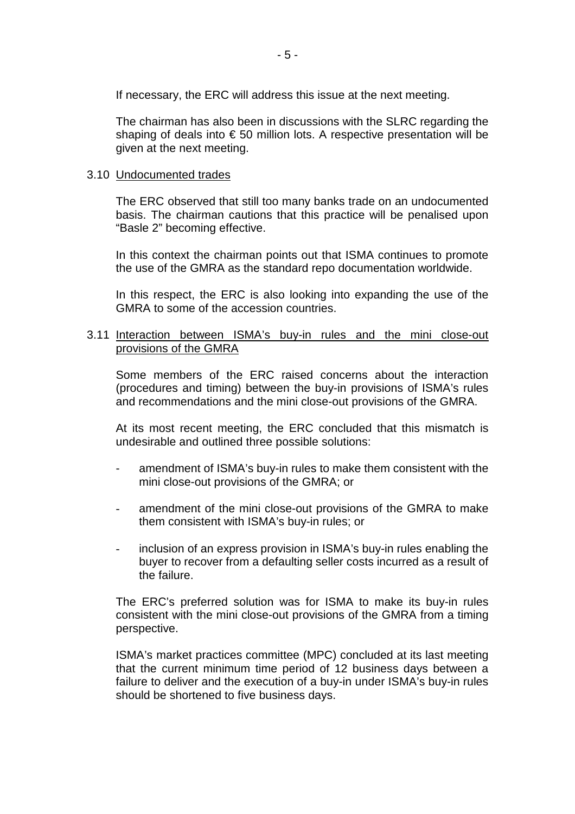If necessary, the ERC will address this issue at the next meeting.

 The chairman has also been in discussions with the SLRC regarding the shaping of deals into € 50 million lots. A respective presentation will be given at the next meeting.

### 3.10 Undocumented trades

 The ERC observed that still too many banks trade on an undocumented basis. The chairman cautions that this practice will be penalised upon "Basle 2" becoming effective.

 In this context the chairman points out that ISMA continues to promote the use of the GMRA as the standard repo documentation worldwide.

 In this respect, the ERC is also looking into expanding the use of the GMRA to some of the accession countries.

#### 3.11 Interaction between ISMA's buy-in rules and the mini close-out provisions of the GMRA

 Some members of the ERC raised concerns about the interaction (procedures and timing) between the buy-in provisions of ISMA's rules and recommendations and the mini close-out provisions of the GMRA.

 At its most recent meeting, the ERC concluded that this mismatch is undesirable and outlined three possible solutions:

- amendment of ISMA's buy-in rules to make them consistent with the mini close-out provisions of the GMRA; or
- amendment of the mini close-out provisions of the GMRA to make them consistent with ISMA's buy-in rules; or
- inclusion of an express provision in ISMA's buy-in rules enabling the buyer to recover from a defaulting seller costs incurred as a result of the failure.

 The ERC's preferred solution was for ISMA to make its buy-in rules consistent with the mini close-out provisions of the GMRA from a timing perspective.

 ISMA's market practices committee (MPC) concluded at its last meeting that the current minimum time period of 12 business days between a failure to deliver and the execution of a buy-in under ISMA's buy-in rules should be shortened to five business days.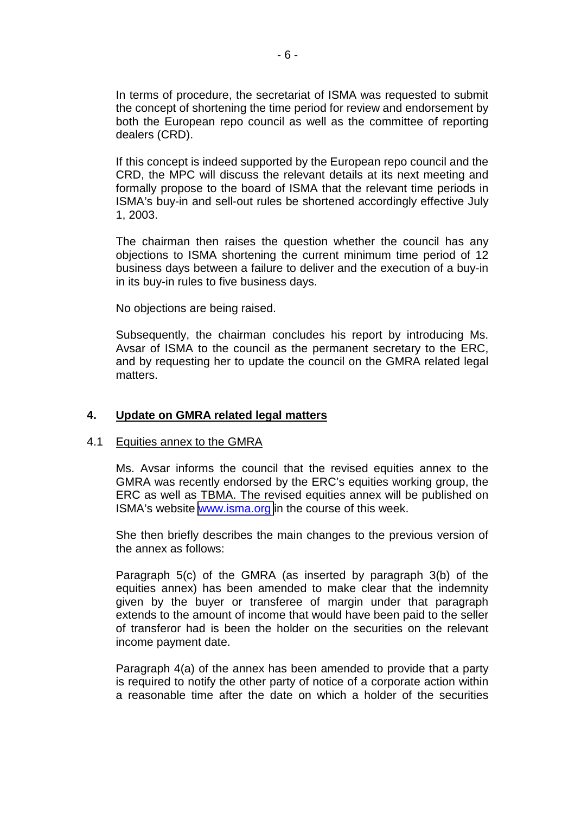In terms of procedure, the secretariat of ISMA was requested to submit the concept of shortening the time period for review and endorsement by both the European repo council as well as the committee of reporting dealers (CRD).

 If this concept is indeed supported by the European repo council and the CRD, the MPC will discuss the relevant details at its next meeting and formally propose to the board of ISMA that the relevant time periods in ISMA's buy-in and sell-out rules be shortened accordingly effective July 1, 2003.

 The chairman then raises the question whether the council has any objections to ISMA shortening the current minimum time period of 12 business days between a failure to deliver and the execution of a buy-in in its buy-in rules to five business days.

No objections are being raised.

 Subsequently, the chairman concludes his report by introducing Ms. Avsar of ISMA to the council as the permanent secretary to the ERC, and by requesting her to update the council on the GMRA related legal matters.

### **4. Update on GMRA related legal matters**

#### 4.1 Equities annex to the GMRA

 Ms. Avsar informs the council that the revised equities annex to the GMRA was recently endorsed by the ERC's equities working group, the ERC as well as TBMA. The revised equities annex will be published on ISMA's website [www.isma.org](http://www.isma.org/) in the course of this week.

 She then briefly describes the main changes to the previous version of the annex as follows:

 Paragraph 5(c) of the GMRA (as inserted by paragraph 3(b) of the equities annex) has been amended to make clear that the indemnity given by the buyer or transferee of margin under that paragraph extends to the amount of income that would have been paid to the seller of transferor had is been the holder on the securities on the relevant income payment date.

 Paragraph 4(a) of the annex has been amended to provide that a party is required to notify the other party of notice of a corporate action within a reasonable time after the date on which a holder of the securities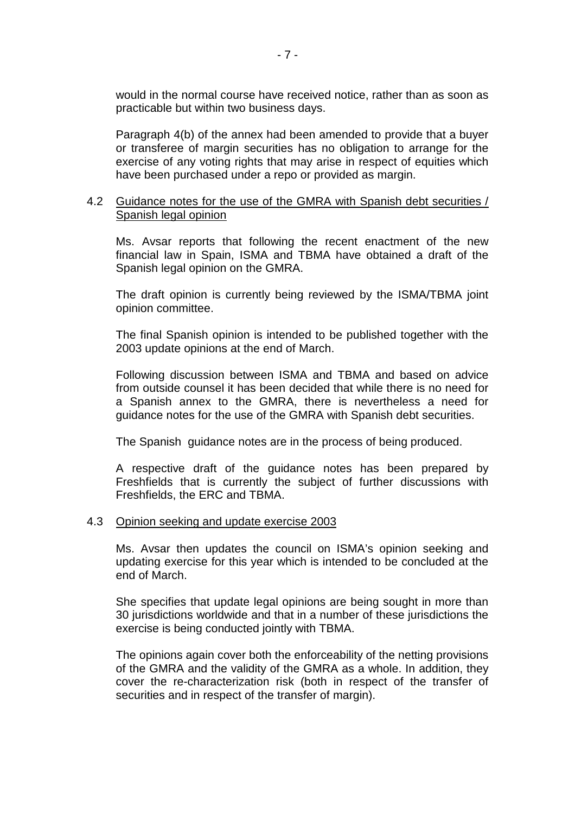would in the normal course have received notice, rather than as soon as practicable but within two business days.

 Paragraph 4(b) of the annex had been amended to provide that a buyer or transferee of margin securities has no obligation to arrange for the exercise of any voting rights that may arise in respect of equities which have been purchased under a repo or provided as margin.

#### 4.2 Guidance notes for the use of the GMRA with Spanish debt securities / Spanish legal opinion

 Ms. Avsar reports that following the recent enactment of the new financial law in Spain, ISMA and TBMA have obtained a draft of the Spanish legal opinion on the GMRA.

 The draft opinion is currently being reviewed by the ISMA/TBMA joint opinion committee.

 The final Spanish opinion is intended to be published together with the 2003 update opinions at the end of March.

 Following discussion between ISMA and TBMA and based on advice from outside counsel it has been decided that while there is no need for a Spanish annex to the GMRA, there is nevertheless a need for guidance notes for the use of the GMRA with Spanish debt securities.

The Spanish guidance notes are in the process of being produced.

 A respective draft of the guidance notes has been prepared by Freshfields that is currently the subject of further discussions with Freshfields, the ERC and TBMA.

#### 4.3 Opinion seeking and update exercise 2003

 Ms. Avsar then updates the council on ISMA's opinion seeking and updating exercise for this year which is intended to be concluded at the end of March.

 She specifies that update legal opinions are being sought in more than 30 jurisdictions worldwide and that in a number of these jurisdictions the exercise is being conducted jointly with TBMA.

 The opinions again cover both the enforceability of the netting provisions of the GMRA and the validity of the GMRA as a whole. In addition, they cover the re-characterization risk (both in respect of the transfer of securities and in respect of the transfer of margin).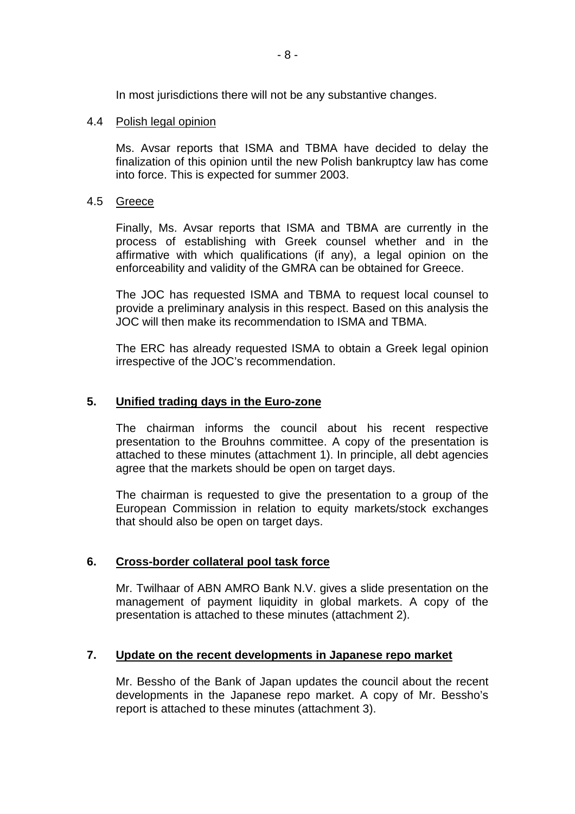In most jurisdictions there will not be any substantive changes.

### 4.4 Polish legal opinion

 Ms. Avsar reports that ISMA and TBMA have decided to delay the finalization of this opinion until the new Polish bankruptcy law has come into force. This is expected for summer 2003.

### 4.5 Greece

 Finally, Ms. Avsar reports that ISMA and TBMA are currently in the process of establishing with Greek counsel whether and in the affirmative with which qualifications (if any), a legal opinion on the enforceability and validity of the GMRA can be obtained for Greece.

 The JOC has requested ISMA and TBMA to request local counsel to provide a preliminary analysis in this respect. Based on this analysis the JOC will then make its recommendation to ISMA and TBMA.

 The ERC has already requested ISMA to obtain a Greek legal opinion irrespective of the JOC's recommendation.

### **5. Unified trading days in the Euro-zone**

 The chairman informs the council about his recent respective presentation to the Brouhns committee. A copy of the presentation is attached to these minutes (attachment 1). In principle, all debt agencies agree that the markets should be open on target days.

 The chairman is requested to give the presentation to a group of the European Commission in relation to equity markets/stock exchanges that should also be open on target days.

### **6. Cross-border collateral pool task force**

 Mr. Twilhaar of ABN AMRO Bank N.V. gives a slide presentation on the management of payment liquidity in global markets. A copy of the presentation is attached to these minutes (attachment 2).

### **7. Update on the recent developments in Japanese repo market**

 Mr. Bessho of the Bank of Japan updates the council about the recent developments in the Japanese repo market. A copy of Mr. Bessho's report is attached to these minutes (attachment 3).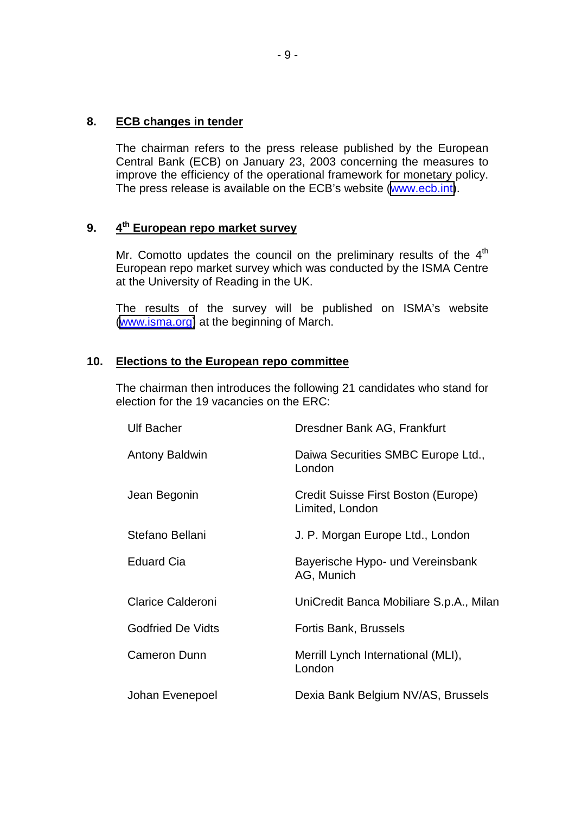### **8. ECB changes in tender**

 The chairman refers to the press release published by the European Central Bank (ECB) on January 23, 2003 concerning the measures to improve the efficiency of the operational framework for monetary policy. The press release is available on the ECB's website [\(www.ecb.int\)](http://www.ecb.int/).

# **9. 4th European repo market survey**

Mr. Comotto updates the council on the preliminary results of the  $4<sup>th</sup>$ European repo market survey which was conducted by the ISMA Centre at the University of Reading in the UK.

 The results of the survey will be published on ISMA's website ([www.isma.org\)](http://www.isma.org/) at the beginning of March.

### **10. Elections to the European repo committee**

 The chairman then introduces the following 21 candidates who stand for election for the 19 vacancies on the ERC:

| <b>Ulf Bacher</b>        | Dresdner Bank AG, Frankfurt                            |
|--------------------------|--------------------------------------------------------|
| <b>Antony Baldwin</b>    | Daiwa Securities SMBC Europe Ltd.,<br>London           |
| Jean Begonin             | Credit Suisse First Boston (Europe)<br>Limited, London |
| Stefano Bellani          | J. P. Morgan Europe Ltd., London                       |
| <b>Eduard Cia</b>        | Bayerische Hypo- und Vereinsbank<br>AG, Munich         |
| <b>Clarice Calderoni</b> | UniCredit Banca Mobiliare S.p.A., Milan                |
| <b>Godfried De Vidts</b> | Fortis Bank, Brussels                                  |
| <b>Cameron Dunn</b>      | Merrill Lynch International (MLI),<br>London           |
| Johan Evenepoel          | Dexia Bank Belgium NV/AS, Brussels                     |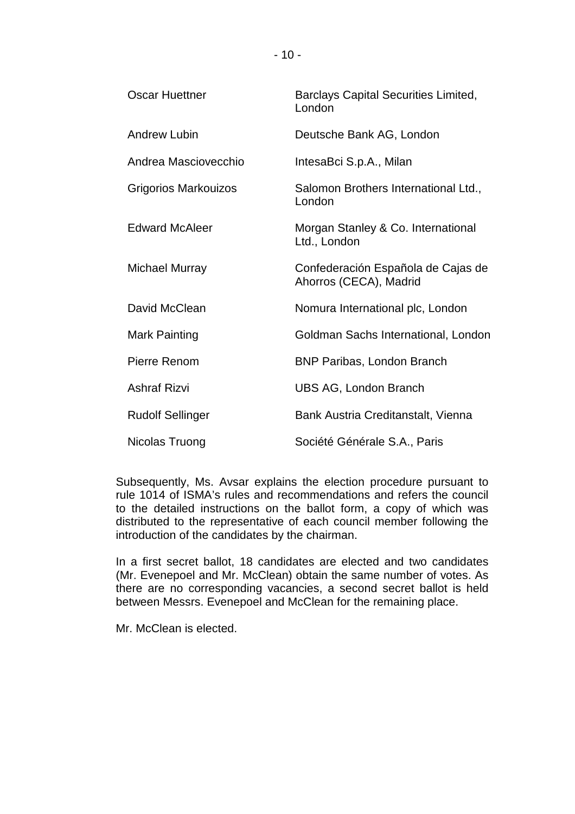| <b>Oscar Huettner</b>   | <b>Barclays Capital Securities Limited,</b><br>London        |
|-------------------------|--------------------------------------------------------------|
| <b>Andrew Lubin</b>     | Deutsche Bank AG, London                                     |
| Andrea Masciovecchio    | IntesaBci S.p.A., Milan                                      |
| Grigorios Markouizos    | Salomon Brothers International Ltd.,<br>London               |
| <b>Edward McAleer</b>   | Morgan Stanley & Co. International<br>Ltd., London           |
| Michael Murray          | Confederación Española de Cajas de<br>Ahorros (CECA), Madrid |
| David McClean           | Nomura International plc, London                             |
| <b>Mark Painting</b>    | Goldman Sachs International, London                          |
| Pierre Renom            | <b>BNP Paribas, London Branch</b>                            |
| <b>Ashraf Rizvi</b>     | <b>UBS AG, London Branch</b>                                 |
| <b>Rudolf Sellinger</b> | Bank Austria Creditanstalt, Vienna                           |
| Nicolas Truong          | Société Générale S.A., Paris                                 |

 Subsequently, Ms. Avsar explains the election procedure pursuant to rule 1014 of ISMA's rules and recommendations and refers the council to the detailed instructions on the ballot form, a copy of which was distributed to the representative of each council member following the introduction of the candidates by the chairman.

 In a first secret ballot, 18 candidates are elected and two candidates (Mr. Evenepoel and Mr. McClean) obtain the same number of votes. As there are no corresponding vacancies, a second secret ballot is held between Messrs. Evenepoel and McClean for the remaining place.

Mr. McClean is elected.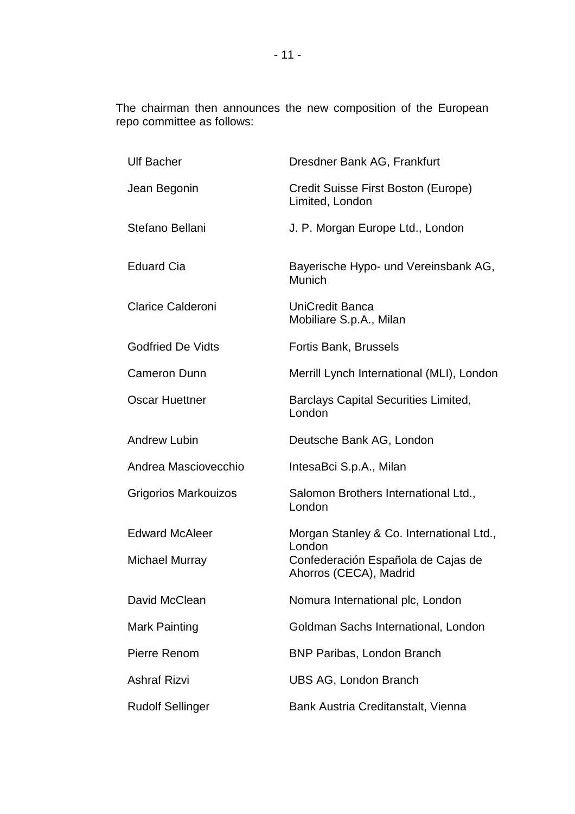The chairman then announces the new composition of the European repo committee as follows:

| <b>Ulf Bacher</b>           | Dresdner Bank AG, Frankfurt                                  |
|-----------------------------|--------------------------------------------------------------|
| Jean Begonin                | Credit Suisse First Boston (Europe)<br>Limited, London       |
| Stefano Bellani             | J. P. Morgan Europe Ltd., London                             |
| <b>Eduard Cia</b>           | Bayerische Hypo- und Vereinsbank AG,<br>Munich               |
| <b>Clarice Calderoni</b>    | <b>UniCredit Banca</b><br>Mobiliare S.p.A., Milan            |
| <b>Godfried De Vidts</b>    | Fortis Bank, Brussels                                        |
| <b>Cameron Dunn</b>         | Merrill Lynch International (MLI), London                    |
| <b>Oscar Huettner</b>       | <b>Barclays Capital Securities Limited,</b><br>London        |
| <b>Andrew Lubin</b>         | Deutsche Bank AG, London                                     |
| Andrea Masciovecchio        | IntesaBci S.p.A., Milan                                      |
| <b>Grigorios Markouizos</b> | Salomon Brothers International Ltd.,<br>London               |
| <b>Edward McAleer</b>       | Morgan Stanley & Co. International Ltd.,<br>London           |
| <b>Michael Murray</b>       | Confederación Española de Cajas de<br>Ahorros (CECA), Madrid |
| David McClean               | Nomura International plc, London                             |
| <b>Mark Painting</b>        | Goldman Sachs International, London                          |
| Pierre Renom                | <b>BNP Paribas, London Branch</b>                            |
| <b>Ashraf Rizvi</b>         | UBS AG, London Branch                                        |
| <b>Rudolf Sellinger</b>     | Bank Austria Creditanstalt, Vienna                           |